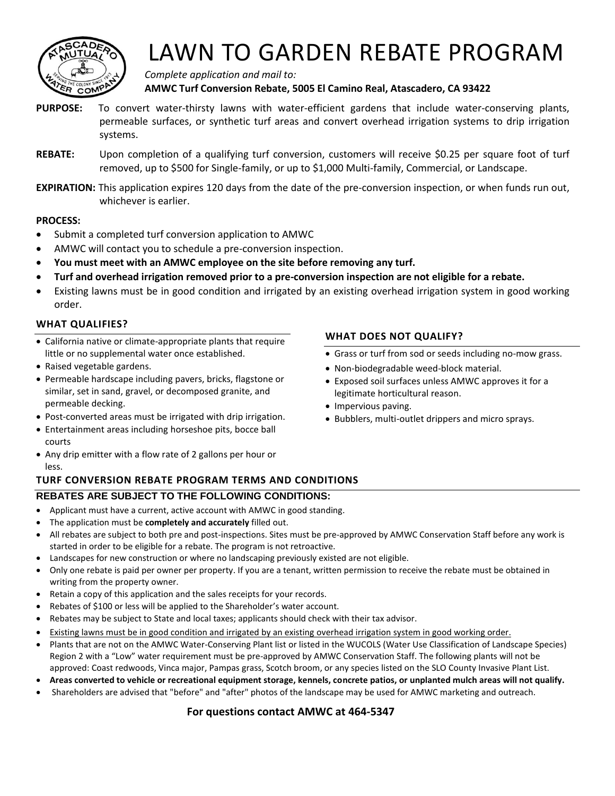

# LAWN TO GARDEN REBATE PROGRAM

*Complete application and mail to:*  **AMWC Turf Conversion Rebate, 5005 El Camino Real, Atascadero, CA 93422** 

- **PURPOSE:** To convert water-thirsty lawns with water-efficient gardens that include water-conserving plants, permeable surfaces, or synthetic turf areas and convert overhead irrigation systems to drip irrigation systems.
- **REBATE:** Upon completion of a qualifying turf conversion, customers will receive \$0.25 per square foot of turf removed, up to \$500 for Single-family, or up to \$1,000 Multi-family, Commercial, or Landscape.
- **EXPIRATION:** This application expires 120 days from the date of the pre-conversion inspection, or when funds run out, whichever is earlier.

#### **PROCESS:**

- Submit a completed turf conversion application to AMWC
- AMWC will contact you to schedule a pre-conversion inspection.
- **You must meet with an AMWC employee on the site before removing any turf.**
- **Turf and overhead irrigation removed prior to a pre-conversion inspection are not eligible for a rebate.**
- Existing lawns must be in good condition and irrigated by an existing overhead irrigation system in good working order.

#### **WHAT QUALIFIES?**

- California native or climate-appropriate plants that require little or no supplemental water once established.
- Raised vegetable gardens.
- Permeable hardscape including pavers, bricks, flagstone or similar, set in sand, gravel, or decomposed granite, and permeable decking.
- Post-converted areas must be irrigated with drip irrigation.
- Entertainment areas including horseshoe pits, bocce ball courts
- Any drip emitter with a flow rate of 2 gallons per hour or less.

### **TURF CONVERSION REBATE PROGRAM TERMS AND CONDITIONS**

### **REBATES ARE SUBJECT TO THE FOLLOWING CONDITIONS:**

- Applicant must have a current, active account with AMWC in good standing.
- The application must be **completely and accurately** filled out.
- All rebates are subject to both pre and post-inspections. Sites must be pre-approved by AMWC Conservation Staff before any work is started in order to be eligible for a rebate. The program is not retroactive.
- Landscapes for new construction or where no landscaping previously existed are not eligible.
- Only one rebate is paid per owner per property. If you are a tenant, written permission to receive the rebate must be obtained in writing from the property owner.
- Retain a copy of this application and the sales receipts for your records.
- Rebates of \$100 or less will be applied to the Shareholder's water account.
- Rebates may be subject to State and local taxes; applicants should check with their tax advisor.
- Existing lawns must be in good condition and irrigated by an existing overhead irrigation system in good working order.
- Plants that are not on the AMWC Water-Conserving Plant list or listed in the WUCOLS (Water Use Classification of Landscape Species) Region 2 with a "Low" water requirement must be pre-approved by AMWC Conservation Staff. The following plants will not be approved: Coast redwoods, Vinca major, Pampas grass, Scotch broom, or any species listed on the SLO County Invasive Plant List.
- **Areas converted to vehicle or recreational equipment storage, kennels, concrete patios, or unplanted mulch areas will not qualify.**
- Shareholders are advised that "before" and "after" photos of the landscape may be used for AMWC marketing and outreach.

#### **For questions contact AMWC at 464-5347**

#### **WHAT DOES NOT QUALIFY?**

- Grass or turf from sod or seeds including no-mow grass.
- Non-biodegradable weed-block material.
- Exposed soil surfaces unless AMWC approves it for a legitimate horticultural reason.
- Impervious paving.
- Bubblers, multi-outlet drippers and micro sprays.